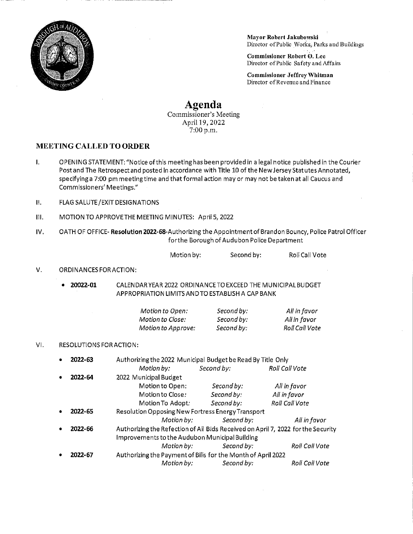

Mayor Robert Jakubowski Director of Public Works, Parks and Buildings

Commissioner Robert O. Lee Director ofPublic SafetyandAffairs

Commissioner Jeffrey Whitman Director of Revenue and Finance

## Agenda

Commissioner's Meeting April 19, 2022 7:00 p.m.

## MEETING CALLED TO ORDER

- 1. OPENING STATEMENT: "Notice ofthis meetinghas been providedin a legal notice published in the Courier Post and The Retrospect and posted in accordance with Title 10 of the New Jersey Statutes Annotated, specifying a 7:00 pm meetingtime and that formal action may or may not be taken at all Caucus and Commissioners' Meetings."
- II. FLAGSALUTE/EXIT DESIGNATIONS
- Ill. MOTIONTOAPPROVETHEMEETINGMINUTES: April5,2022
- IV. OATH OF OFFICE- Resolution 2022-68-Authorizing the Appointment of Brandon Bouncy, Police Patrol Officer for the Borough of Audubon Police Department

| Roll Call Vote<br>Motion by:<br>Second by: |
|--------------------------------------------|
|--------------------------------------------|

## V. ORDINANCES FOR ACTION:

\* 20022-01 CALENDARYEAR 2022 0RDINANCETO EXCEED THE MUNICIPALBUDGET APPROPRIATION LIMITS ANDTO ESTABLISH A CAP BANK

| Motion to Open:           | Sι |
|---------------------------|----|
| Motion to Close:          | Sι |
| <b>Motion to Approve:</b> | Sι |

econd by: econd by: econd by:

All in favor Allin favor Roll Call Vote

## Vl. RESOLUTIONS FOR ACTION:

| ٠                        | 2022-63                                        | Authorizing the 2022 Municipal Budget be Read By Title Only |                                                              |                                                                                  |  |  |  |  |
|--------------------------|------------------------------------------------|-------------------------------------------------------------|--------------------------------------------------------------|----------------------------------------------------------------------------------|--|--|--|--|
|                          |                                                | Motion by:                                                  | Second by:                                                   | <b>Roll Call Vote</b>                                                            |  |  |  |  |
| ٠                        | 2022-64                                        | 2022 Municipal Budget                                       |                                                              | All in favor<br>All in favor<br><b>Roll Call Vote</b>                            |  |  |  |  |
|                          |                                                | Motion to Open:                                             | Second by:                                                   |                                                                                  |  |  |  |  |
|                          |                                                | Motion to Close:                                            | Second by:                                                   |                                                                                  |  |  |  |  |
|                          |                                                | Motion To Adopt:                                            | Second by:                                                   |                                                                                  |  |  |  |  |
| ٠                        | 2022-65                                        | Resolution Opposing New Fortress Energy Transport           |                                                              |                                                                                  |  |  |  |  |
|                          |                                                | Motion by:                                                  | Second by:                                                   | All in favor                                                                     |  |  |  |  |
| $\bullet$                | 2022-66                                        |                                                             |                                                              | Authorizing the Refection of All Bids Received on April 7, 2022 for the Security |  |  |  |  |
|                          | Improvements to the Audubon Municipal Building |                                                             |                                                              |                                                                                  |  |  |  |  |
|                          |                                                | Motion by:                                                  | Second by:                                                   | Roll Call Vote                                                                   |  |  |  |  |
| ٠                        | 2022-67                                        |                                                             | Authorizing the Payment of Bills for the Month of April 2022 |                                                                                  |  |  |  |  |
| Second by:<br>Motion by: |                                                |                                                             |                                                              | Roll Call Vote                                                                   |  |  |  |  |
|                          |                                                |                                                             |                                                              |                                                                                  |  |  |  |  |